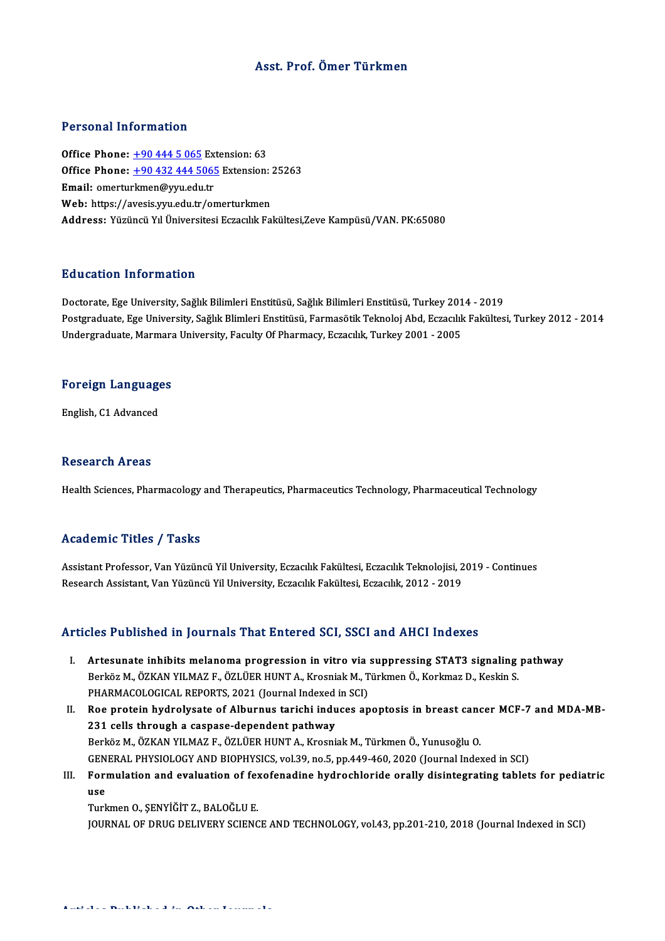#### Asst. Prof. Ömer Türkmen

#### Personal Information

Personal Information<br>Office Phone: <u>+90 444 5 065</u> Extension: 63<br>Office Phone: 190 422 444 5065 Extension: **Office Phone:** +90 444 5 065 Extension: 63<br>Office Phone: +90 444 5 065 Extension: 63<br>Email: emerturkmen@rm; edu tr Office Phone:  $\pm 904445065$  Ex<br>Office Phone:  $\pm 904324445065$ <br>Email: omertu[rkmen@yyu.edu.tr](tel:+90 432 444 5065) Office Phone: <u>+90 432 444 5065</u> Extension: <br>Email: omerturkmen@yyu.edu.tr<br>Web: https://avesis.yyu.edu.tr/omerturkmen<br>Addressy Viginai VI Universitesi Estasuluk Fa Email: omerturkmen@yyu.edu.tr<br>Web: https://avesis.yyu.edu.tr/omerturkmen<br>Address: Yüzüncü Yıl Üniversitesi Eczacılık Fakültesi,Zeve Kampüsü/VAN. PK:65080

#### Education Information

<mark>Education Information</mark><br>Doctorate, Ege University, Sağlık Bilimleri Enstitüsü, Sağlık Bilimleri Enstitüsü, Turkey 2014 - 2019<br>Postaraduata Ege University, Sağlık Blimleri Enstitüsü, Farmasötik Telmolei Abd, Estasikk Felsül Postgraduate, Ege University, Sağlık Blimleri Enstitüsü, Farmasötik Teknoloj Abd, Eczacılık Fakültesi, Turkey 2012 - 2014<br>Undergraduate, Marmara University, Faculty Of Pharmacy, Eczacılık, Turkey 2001 - 2005 Doctorate, Ege University, Sağlık Bilimleri Enstitüsü, Sağlık Bilimleri Enstitüsü, Turkey 201<br>Postgraduate, Ege University, Sağlık Blimleri Enstitüsü, Farmasötik Teknoloj Abd, Eczacılık<br>Undergraduate, Marmara University, F

## <sub>ondergraduate, marmara</sub><br>Foreign Languages F<mark>oreign Languag</mark>e<br>English, C1 Advanced

English, C1 Advanced<br>Research Areas

Health Sciences, Pharmacology and Therapeutics, Pharmaceutics Technology, Pharmaceutical Technology

#### Academic Titles / Tasks

Academic Titles / Tasks<br>Assistant Professor, Van Yüzüncü Yil University, Eczacılık Fakültesi, Eczacılık Teknolojisi, 2019 - Continues<br>Researsh Assistant Van Yüzüncü Yil University, Eszacılık Fakültesi, Eszacılık, 2012, 201 rreata enne "reree", "raene<br>Assistant Professor, Van Yüzüncü Yil University, Eczacılık Fakültesi, Eczacılık Teknolojisi, 2<br>Research Assistant, Van Yüzüncü Yil University, Eczacılık Fakültesi, Eczacılık, 2012 - 2019

# Research Assistant, Van Yüzüncü Yil University, Eczacılık Fakültesi, Eczacılık, 2012 - 2019<br>Articles Published in Journals That Entered SCI, SSCI and AHCI Indexes

- Tricles Published in Journals That Entered SCI, SSCI and AHCI Indexes<br>I. Artesunate inhibits melanoma progression in vitro via suppressing STAT3 signaling pathway<br>Rerkez M. ÖZKAN VILMAZE, ÖZLÜER HINT A. Kresnisk M. Türkman SES T ASHSHOA III JOATHARS THAT SINCTOA OST, SSOT AND THAOH INDONES<br>Artesunate inhibits melanoma progression in vitro via suppressing STAT3 signaling<br>Berköz M., ÖZKAN YILMAZ F., ÖZLÜER HUNT A., Krosniak M., Türkmen Ö., Kor Artesunate inhibits melanoma progression in vitro via :<br>Berköz M., ÖZKAN YILMAZ F., ÖZLÜER HUNT A., Krosniak M., T<br>PHARMACOLOGICAL REPORTS, 2021 (Journal Indexed in SCI)<br>Boe protein bydrolygate of Alburnus tarishi induses Berköz M., ÖZKAN YILMAZ F., ÖZLÜER HUNT A., Krosniak M., Türkmen Ö., Korkmaz D., Keskin S.<br>PHARMACOLOGICAL REPORTS, 2021 (Journal Indexed in SCI)<br>II. Roe protein hydrolysate of Alburnus tarichi induces apoptosis in bre
- 231 cells through a caspase-dependent pathway Berköz M., ÖZKAN YILMAZ F., ÖZLÜER HUNT A., Krosniak M., Türkmen Ö., Yunusoğlu O. GENERAL PHYSIOLOGYANDBIOPHYSICS,vol.39,no.5,pp.449-460,2020 (Journal Indexed inSCI) Berköz M., ÖZKAN YILMAZ F., ÖZLÜER HUNT A., Krosniak M., Türkmen Ö., Yunusoğlu O.<br>GENERAL PHYSIOLOGY AND BIOPHYSICS, vol.39, no.5, pp.449-460, 2020 (Journal Indexed in SCI)<br>III. Formulation and evaluation of fexofenadin
- GEN<br>Fori<br>use<br><sub>Turk</sub> Formulation and evaluation of fe<mark>:</mark><br>use<br>Turkmen O., ŞENYİĞİT Z., BALOĞLU E.<br>JOUPNAL OF DRUC DELIVERY SCIENC

use<br>Turkmen O., ŞENYİĞİT Z., BALOĞLU E.<br>JOURNAL OF DRUG DELIVERY SCIENCE AND TECHNOLOGY, vol.43, pp.201-210, 2018 (Journal Indexed in SCI)